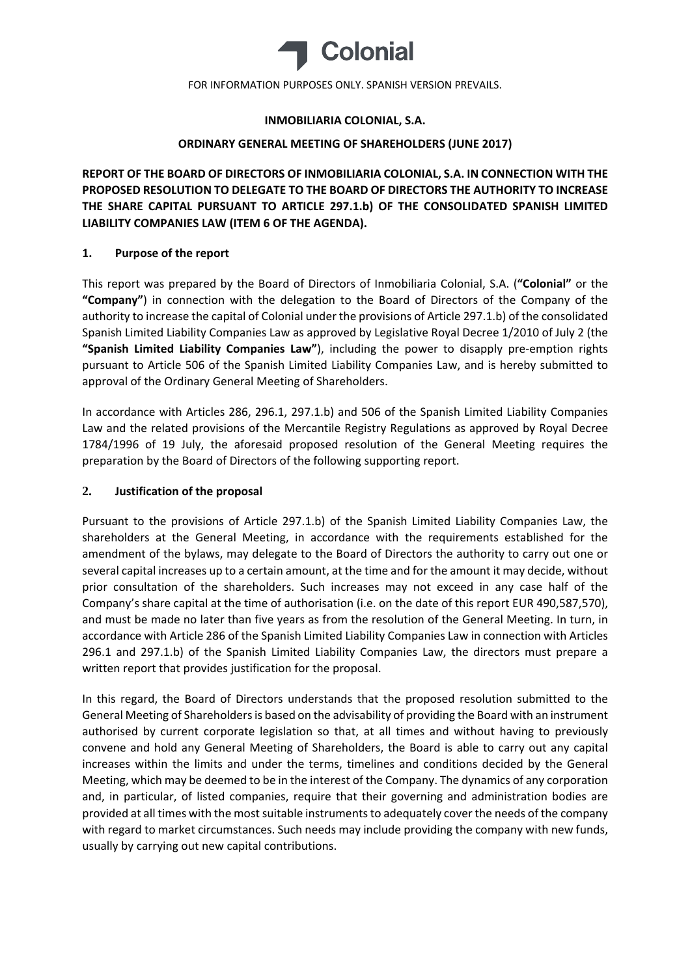

## **INMOBILIARIA COLONIAL, S.A.**

## **ORDINARY GENERAL MEETING OF SHAREHOLDERS (JUNE 2017)**

**REPORT OF THE BOARD OF DIRECTORS OF INMOBILIARIA COLONIAL, S.A. IN CONNECTION WITH THE PROPOSED RESOLUTION TO DELEGATE TO THE BOARD OF DIRECTORS THE AUTHORITY TO INCREASE THE SHARE CAPITAL PURSUANT TO ARTICLE 297.1.b) OF THE CONSOLIDATED SPANISH LIMITED LIABILITY COMPANIES LAW (ITEM 6 OF THE AGENDA).**

# **1. Purpose of the report**

This report was prepared by the Board of Directors of Inmobiliaria Colonial, S.A. (**"Colonial"** or the **"Company"**) in connection with the delegation to the Board of Directors of the Company of the authority to increase the capital of Colonial under the provisions of Article 297.1.b) of the consolidated Spanish Limited Liability Companies Law as approved by Legislative Royal Decree 1/2010 of July 2 (the **"Spanish Limited Liability Companies Law"**), including the power to disapply pre‐emption rights pursuant to Article 506 of the Spanish Limited Liability Companies Law, and is hereby submitted to approval of the Ordinary General Meeting of Shareholders.

In accordance with Articles 286, 296.1, 297.1.b) and 506 of the Spanish Limited Liability Companies Law and the related provisions of the Mercantile Registry Regulations as approved by Royal Decree 1784/1996 of 19 July, the aforesaid proposed resolution of the General Meeting requires the preparation by the Board of Directors of the following supporting report.

## **2. Justification of the proposal**

Pursuant to the provisions of Article 297.1.b) of the Spanish Limited Liability Companies Law, the shareholders at the General Meeting, in accordance with the requirements established for the amendment of the bylaws, may delegate to the Board of Directors the authority to carry out one or several capital increases up to a certain amount, at the time and for the amount it may decide, without prior consultation of the shareholders. Such increases may not exceed in any case half of the Company's share capital at the time of authorisation (i.e. on the date of this report EUR 490,587,570), and must be made no later than five years as from the resolution of the General Meeting. In turn, in accordance with Article 286 of the Spanish Limited Liability Companies Law in connection with Articles 296.1 and 297.1.b) of the Spanish Limited Liability Companies Law, the directors must prepare a written report that provides justification for the proposal.

In this regard, the Board of Directors understands that the proposed resolution submitted to the General Meeting of Shareholders is based on the advisability of providing the Board with an instrument authorised by current corporate legislation so that, at all times and without having to previously convene and hold any General Meeting of Shareholders, the Board is able to carry out any capital increases within the limits and under the terms, timelines and conditions decided by the General Meeting, which may be deemed to be in the interest of the Company. The dynamics of any corporation and, in particular, of listed companies, require that their governing and administration bodies are provided at all times with the most suitable instruments to adequately cover the needs of the company with regard to market circumstances. Such needs may include providing the company with new funds, usually by carrying out new capital contributions.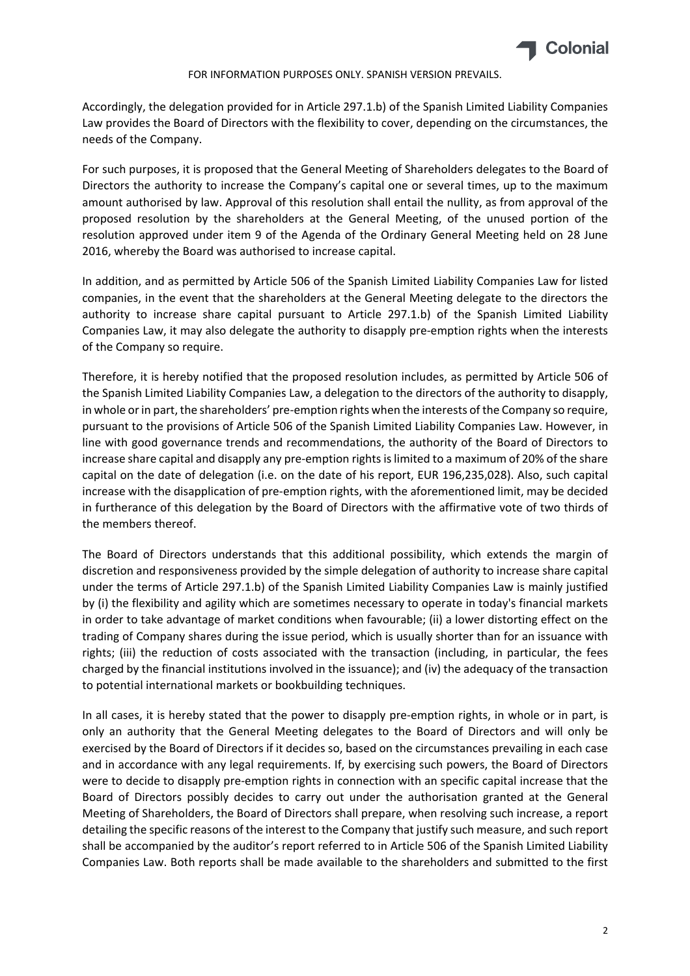

Accordingly, the delegation provided for in Article 297.1.b) of the Spanish Limited Liability Companies Law provides the Board of Directors with the flexibility to cover, depending on the circumstances, the needs of the Company.

For such purposes, it is proposed that the General Meeting of Shareholders delegates to the Board of Directors the authority to increase the Company's capital one or several times, up to the maximum amount authorised by law. Approval of this resolution shall entail the nullity, as from approval of the proposed resolution by the shareholders at the General Meeting, of the unused portion of the resolution approved under item 9 of the Agenda of the Ordinary General Meeting held on 28 June 2016, whereby the Board was authorised to increase capital.

In addition, and as permitted by Article 506 of the Spanish Limited Liability Companies Law for listed companies, in the event that the shareholders at the General Meeting delegate to the directors the authority to increase share capital pursuant to Article 297.1.b) of the Spanish Limited Liability Companies Law, it may also delegate the authority to disapply pre‐emption rights when the interests of the Company so require.

Therefore, it is hereby notified that the proposed resolution includes, as permitted by Article 506 of the Spanish Limited Liability Companies Law, a delegation to the directors of the authority to disapply, in whole or in part, the shareholders' pre-emption rights when the interests of the Company so require, pursuant to the provisions of Article 506 of the Spanish Limited Liability Companies Law. However, in line with good governance trends and recommendations, the authority of the Board of Directors to increase share capital and disapply any pre-emption rights is limited to a maximum of 20% of the share capital on the date of delegation (i.e. on the date of his report, EUR 196,235,028). Also, such capital increase with the disapplication of pre‐emption rights, with the aforementioned limit, may be decided in furtherance of this delegation by the Board of Directors with the affirmative vote of two thirds of the members thereof.

The Board of Directors understands that this additional possibility, which extends the margin of discretion and responsiveness provided by the simple delegation of authority to increase share capital under the terms of Article 297.1.b) of the Spanish Limited Liability Companies Law is mainly justified by (i) the flexibility and agility which are sometimes necessary to operate in today's financial markets in order to take advantage of market conditions when favourable; (ii) a lower distorting effect on the trading of Company shares during the issue period, which is usually shorter than for an issuance with rights; (iii) the reduction of costs associated with the transaction (including, in particular, the fees charged by the financial institutions involved in the issuance); and (iv) the adequacy of the transaction to potential international markets or bookbuilding techniques.

In all cases, it is hereby stated that the power to disapply pre-emption rights, in whole or in part, is only an authority that the General Meeting delegates to the Board of Directors and will only be exercised by the Board of Directors if it decides so, based on the circumstances prevailing in each case and in accordance with any legal requirements. If, by exercising such powers, the Board of Directors were to decide to disapply pre-emption rights in connection with an specific capital increase that the Board of Directors possibly decides to carry out under the authorisation granted at the General Meeting of Shareholders, the Board of Directors shall prepare, when resolving such increase, a report detailing the specific reasons of the interest to the Company that justify such measure, and such report shall be accompanied by the auditor's report referred to in Article 506 of the Spanish Limited Liability Companies Law. Both reports shall be made available to the shareholders and submitted to the first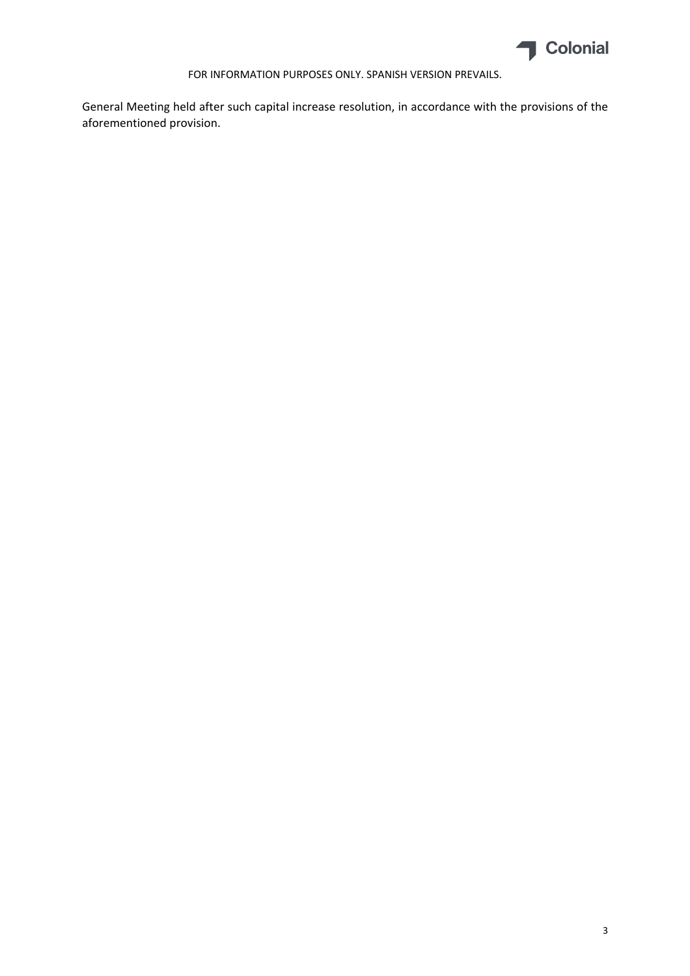

General Meeting held after such capital increase resolution, in accordance with the provisions of the aforementioned provision.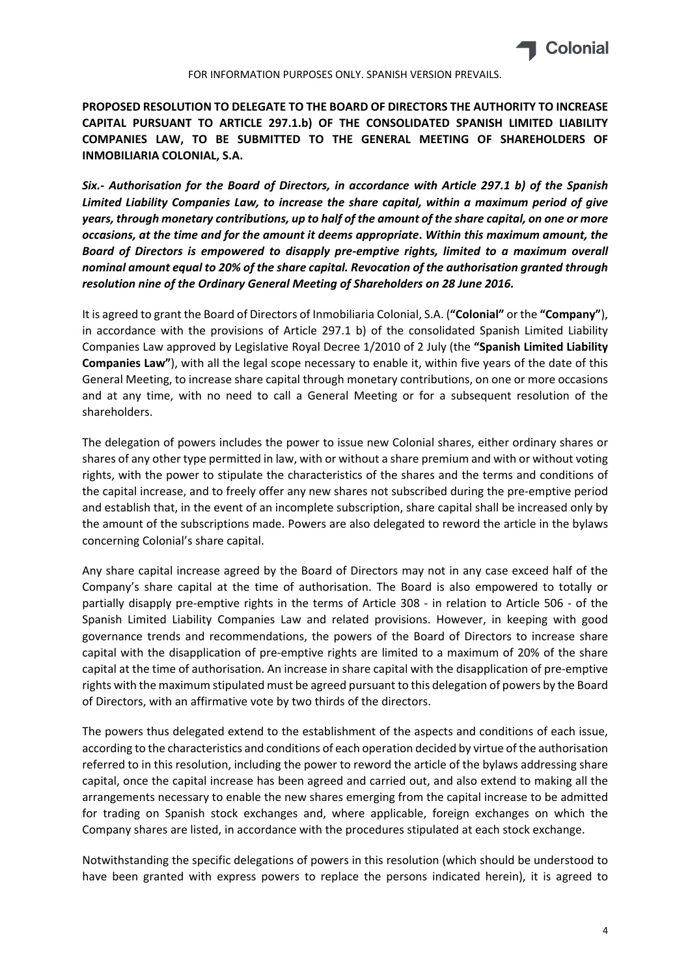

**PROPOSED RESOLUTION TO DELEGATE TO THE BOARD OF DIRECTORS THE AUTHORITY TO INCREASE CAPITAL PURSUANT TO ARTICLE 297.1.b) OF THE CONSOLIDATED SPANISH LIMITED LIABILITY COMPANIES LAW, TO BE SUBMITTED TO THE GENERAL MEETING OF SHAREHOLDERS OF INMOBILIARIA COLONIAL, S.A.**

*Six.‐ Authorisation for the Board of Directors, in accordance with Article 297.1 b) of the Spanish Limited Liability Companies Law, to increase the share capital, within a maximum period of give* years, through monetary contributions, up to half of the amount of the share capital, on one or more *occasions, at the time and for the amount it deems appropriate***.** *Within this maximum amount, the Board of Directors is empowered to disapply pre‐emptive rights, limited to a maximum overall nominal amount equal to 20% of the share capital. Revocation of the authorisation granted through resolution nine of the Ordinary General Meeting of Shareholders on 28 June 2016.*

It is agreed to grant the Board of Directors of Inmobiliaria Colonial, S.A. (**"Colonial"** or the **"Company"**), in accordance with the provisions of Article 297.1 b) of the consolidated Spanish Limited Liability Companies Law approved by Legislative Royal Decree 1/2010 of 2 July (the **"Spanish Limited Liability Companies Law"**), with all the legal scope necessary to enable it, within five years of the date of this General Meeting, to increase share capital through monetary contributions, on one or more occasions and at any time, with no need to call a General Meeting or for a subsequent resolution of the shareholders.

The delegation of powers includes the power to issue new Colonial shares, either ordinary shares or shares of any other type permitted in law, with or without a share premium and with or without voting rights, with the power to stipulate the characteristics of the shares and the terms and conditions of the capital increase, and to freely offer any new shares not subscribed during the pre‐emptive period and establish that, in the event of an incomplete subscription, share capital shall be increased only by the amount of the subscriptions made. Powers are also delegated to reword the article in the bylaws concerning Colonial's share capital.

Any share capital increase agreed by the Board of Directors may not in any case exceed half of the Company's share capital at the time of authorisation. The Board is also empowered to totally or partially disapply pre-emptive rights in the terms of Article 308 - in relation to Article 506 - of the Spanish Limited Liability Companies Law and related provisions. However, in keeping with good governance trends and recommendations, the powers of the Board of Directors to increase share capital with the disapplication of pre‐emptive rights are limited to a maximum of 20% of the share capital at the time of authorisation. An increase in share capital with the disapplication of pre‐emptive rights with the maximum stipulated must be agreed pursuant to this delegation of powers by the Board of Directors, with an affirmative vote by two thirds of the directors.

The powers thus delegated extend to the establishment of the aspects and conditions of each issue, according to the characteristics and conditions of each operation decided by virtue of the authorisation referred to in this resolution, including the power to reword the article of the bylaws addressing share capital, once the capital increase has been agreed and carried out, and also extend to making all the arrangements necessary to enable the new shares emerging from the capital increase to be admitted for trading on Spanish stock exchanges and, where applicable, foreign exchanges on which the Company shares are listed, in accordance with the procedures stipulated at each stock exchange.

Notwithstanding the specific delegations of powers in this resolution (which should be understood to have been granted with express powers to replace the persons indicated herein), it is agreed to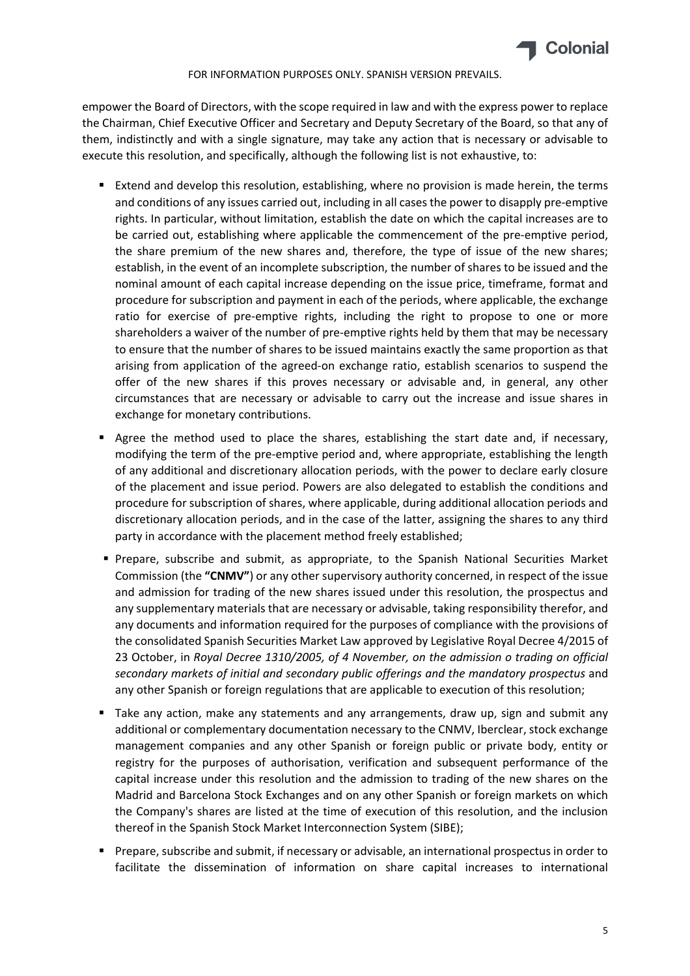

empower the Board of Directors, with the scope required in law and with the express power to replace the Chairman, Chief Executive Officer and Secretary and Deputy Secretary of the Board, so that any of them, indistinctly and with a single signature, may take any action that is necessary or advisable to execute this resolution, and specifically, although the following list is not exhaustive, to:

- Extend and develop this resolution, establishing, where no provision is made herein, the terms and conditions of any issues carried out, including in all cases the power to disapply pre-emptive rights. In particular, without limitation, establish the date on which the capital increases are to be carried out, establishing where applicable the commencement of the pre-emptive period, the share premium of the new shares and, therefore, the type of issue of the new shares; establish, in the event of an incomplete subscription, the number of shares to be issued and the nominal amount of each capital increase depending on the issue price, timeframe, format and procedure for subscription and payment in each of the periods, where applicable, the exchange ratio for exercise of pre-emptive rights, including the right to propose to one or more shareholders a waiver of the number of pre-emptive rights held by them that may be necessary to ensure that the number of shares to be issued maintains exactly the same proportion as that arising from application of the agreed‐on exchange ratio, establish scenarios to suspend the offer of the new shares if this proves necessary or advisable and, in general, any other circumstances that are necessary or advisable to carry out the increase and issue shares in exchange for monetary contributions.
- Agree the method used to place the shares, establishing the start date and, if necessary, modifying the term of the pre-emptive period and, where appropriate, establishing the length of any additional and discretionary allocation periods, with the power to declare early closure of the placement and issue period. Powers are also delegated to establish the conditions and procedure for subscription of shares, where applicable, during additional allocation periods and discretionary allocation periods, and in the case of the latter, assigning the shares to any third party in accordance with the placement method freely established;
- Prepare, subscribe and submit, as appropriate, to the Spanish National Securities Market Commission (the **"CNMV"**) or any other supervisory authority concerned, in respect of the issue and admission for trading of the new shares issued under this resolution, the prospectus and any supplementary materials that are necessary or advisable, taking responsibility therefor, and any documents and information required for the purposes of compliance with the provisions of the consolidated Spanish Securities Market Law approved by Legislative Royal Decree 4/2015 of 23 October, in *Royal Decree 1310/2005, of 4 November, on the admission o trading on official secondary markets of initial and secondary public offerings and the mandatory prospectus* and any other Spanish or foreign regulations that are applicable to execution of this resolution;
- Take any action, make any statements and any arrangements, draw up, sign and submit any additional or complementary documentation necessary to the CNMV, Iberclear, stock exchange management companies and any other Spanish or foreign public or private body, entity or registry for the purposes of authorisation, verification and subsequent performance of the capital increase under this resolution and the admission to trading of the new shares on the Madrid and Barcelona Stock Exchanges and on any other Spanish or foreign markets on which the Company's shares are listed at the time of execution of this resolution, and the inclusion thereof in the Spanish Stock Market Interconnection System (SIBE);
- Prepare, subscribe and submit, if necessary or advisable, an international prospectus in order to facilitate the dissemination of information on share capital increases to international